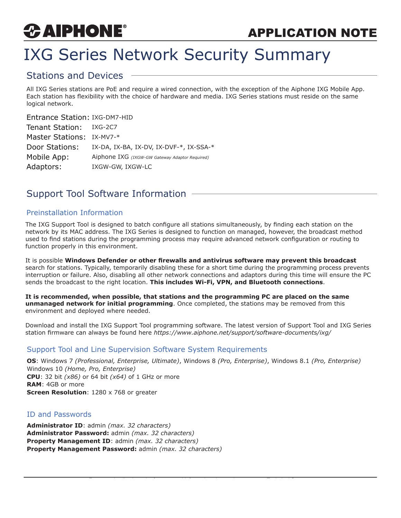# *CAIPHONE*

## IXG Series Network Security Summary

### Stations and Devices

All IXG Series stations are PoE and require a wired connection, with the exception of the Aiphone IXG Mobile App. Each station has flexibility with the choice of hardware and media. IXG Series stations must reside on the same logical network.

#### Entrance Station: IXG-DM7-HID

| Tenant Station:           | IXG-2C7                                        |
|---------------------------|------------------------------------------------|
| Master Stations: IX-MV7-* |                                                |
| Door Stations:            | IX-DA, IX-BA, IX-DV, IX-DVF-*, IX-SSA-*        |
| Mobile App:               | Aiphone IXG (IXGW-GW Gateway Adaptor Required) |
| Adaptors:                 | IXGW-GW, IXGW-LC                               |

## Support Tool Software Information

#### Preinstallation Information

The IXG Support Tool is designed to batch configure all stations simultaneously, by finding each station on the network by its MAC address. The IXG Series is designed to function on managed, however, the broadcast method used to find stations during the programming process may require advanced network configuration or routing to function properly in this environment.

It is possible **Windows Defender or other firewalls and antivirus software may prevent this broadcast** search for stations. Typically, temporarily disabling these for a short time during the programming process prevents interruption or failure. Also, disabling all other network connections and adaptors during this time will ensure the PC sends the broadcast to the right location. **This includes Wi-Fi, VPN, and Bluetooth connections**.

**It is recommended, when possible, that stations and the programming PC are placed on the same unmanaged network for initial programming**. Once completed, the stations may be removed from this environment and deployed where needed.

Download and install the IXG Support Tool programming software. The latest version of Support Tool and IXG Series station firmware can always be found here *https://www.aiphone.net/support/software-documents/ixg/*

#### Support Tool and Line Supervision Software System Requirements

**OS**: Windows 7 *(Professional, Enterprise, Ultimate)*, Windows 8 *(Pro, Enterprise)*, Windows 8.1 *(Pro, Enterprise)* Windows 10 *(Home, Pro, Enterprise)* **CPU**: 32 bit *(x86)* or 64 bit *(x64)* of 1 GHz or more **RAM**: 4GB or more **Screen Resolution**: 1280 x 768 or greater

#### ID and Passwords

**Administrator ID**: admin *(max. 32 characters)* **Administrator Password:** admin *(max. 32 characters)* **Property Management ID**: admin *(max. 32 characters)* **Property Management Password:** admin *(max. 32 characters)*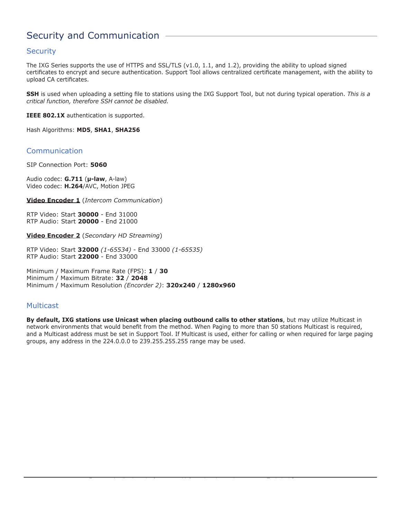## Security and Communication

#### **Security**

The IXG Series supports the use of HTTPS and SSL/TLS (v1.0, 1.1, and 1.2), providing the ability to upload signed certificates to encrypt and secure authentication. Support Tool allows centralized certificate management, with the ability to upload CA certificates.

**SSH** is used when uploading a setting file to stations using the IXG Support Tool, but not during typical operation. *This is a critical function, therefore SSH cannot be disabled.*

**IEEE 802.1X** authentication is supported.

Hash Algorithms: **MD5**, **SHA1**, **SHA256**

#### Communication

SIP Connection Port: **5060**

Audio codec: **G.711** (**µ-law**, A-law) Video codec: **H.264**/AVC, Motion JPEG

**Video Encoder 1** (*Intercom Communication*)

RTP Video: Start **30000** *-* End 31000 RTP Audio: Start **20000** - End 21000

**Video Encoder 2** (*Secondary HD Streaming*)

RTP Video: Start **32000** *(1-65534)* - End 33000 *(1-65535)* RTP Audio: Start **22000** - End 33000

Minimum / Maximum Frame Rate (FPS): **1** / **30** Minimum / Maximum Bitrate: **32** / **2048** Minimum / Maximum Resolution *(Encorder 2)*: **320x240** / **1280x960**

#### **Multicast**

**By default, IXG stations use Unicast when placing outbound calls to other stations**, but may utilize Multicast in network environments that would benefit from the method. When Paging to more than 50 stations Multicast is required, and a Multicast address must be set in Support Tool. If Multicast is used, either for calling or when required for large paging groups, any address in the 224.0.0.0 to 239.255.255.255 range may be used.